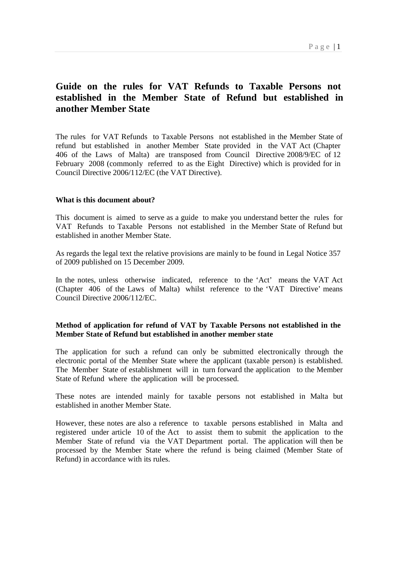# **Guide on the rules for VAT Refunds to Taxable Persons not established in the Member State of Refund but established in another Member State**

The rules for VAT Refunds to Taxable Persons not established in the Member State of refund but established in another Member State provided in the VAT Act (Chapter 406 of the Laws of Malta) are transposed from Council Directive 2008/9/EC of 12 February 2008 (commonly referred to as the Eight Directive) which is provided for in Council Directive 2006/112/EC (the VAT Directive).

## **What is this document about?**

This document is aimed to serve as a guide to make you understand better the rules for VAT Refunds to Taxable Persons not established in the Member State of Refund but established in another Member State.

As regards the legal text the relative provisions are mainly to be found in Legal Notice 357 of 2009 published on 15 December 2009.

In the notes, unless otherwise indicated, reference to the 'Act' means the VAT Act (Chapter 406 of the Laws of Malta) whilst reference to the 'VAT Directive' means Council Directive 2006/112/EC.

# **Method of application for refund of VAT by Taxable Persons not established in the Member State of Refund but established in another member state**

The application for such a refund can only be submitted electronically through the electronic portal of the Member State where the applicant (taxable person) is established. The Member State of establishment will in turn forward the application to the Member State of Refund where the application will be processed.

These notes are intended mainly for taxable persons not established in Malta but established in another Member State.

However, these notes are also a reference to taxable persons established in Malta and registered under article 10 of the Act to assist them to submit the application to the Member State of refund via the VAT Department portal. The application will then be processed by the Member State where the refund is being claimed (Member State of Refund) in accordance with its rules.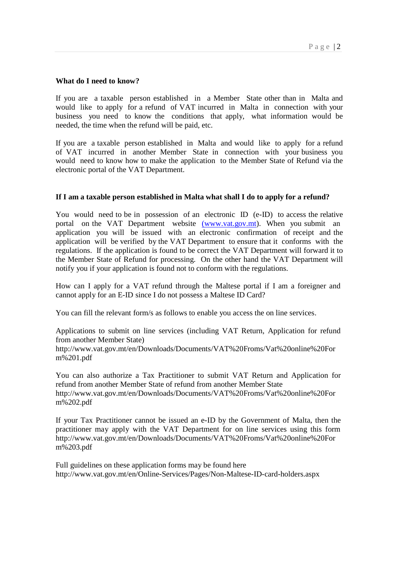#### **What do I need to know?**

If you are a taxable person established in a Member State other than in Malta and would like to apply for a refund of VAT incurred in Malta in connection with your business you need to know the conditions that apply, what information would be needed, the time when the refund will be paid, etc.

If you are a taxable person established in Malta and would like to apply for a refund of VAT incurred in another Member State in connection with your business you would need to know how to make the application to the Member State of Refund via the electronic portal of the VAT Department.

#### **If I am a taxable person established in Malta what shall I do to apply for a refund?**

You would need to be in possession of an electronic ID (e-ID) to access the relative portal on the VAT Department website (www.vat.gov.mt). When you submit an application you will be issued with an electronic confirmation of receipt and the application will be verified by the VAT Department to ensure that it conforms with the regulations. If the application is found to be correct the VAT Department will forward it to the Member State of Refund for processing. On the other hand the VAT Department will notify you if your application is found not to conform with the regulations.

How can I apply for a VAT refund through the Maltese portal if I am a foreigner and cannot apply for an E-ID since I do not possess a Maltese ID Card?

You can fill the relevant form/s as follows to enable you access the on line services.

Applications to submit on line services (including VAT Return, Application for refund from another Member State) http://www.vat.gov.mt/en/Downloads/Documents/VAT%20Froms/Vat%20online%20For

m%201.pdf

You can also authorize a Tax Practitioner to submit VAT Return and Application for refund from another Member State of refund from another Member State http://www.vat.gov.mt/en/Downloads/Documents/VAT%20Froms/Vat%20online%20For m%202.pdf

If your Tax Practitioner cannot be issued an e-ID by the Government of Malta, then the practitioner may apply with the VAT Department for on line services using this form http://www.vat.gov.mt/en/Downloads/Documents/VAT%20Froms/Vat%20online%20For m%203.pdf

Full guidelines on these application forms may be found here http://www.vat.gov.mt/en/Online-Services/Pages/Non-Maltese-ID-card-holders.aspx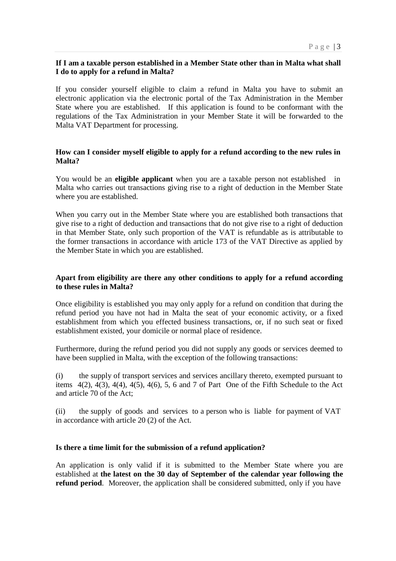## **If I am a taxable person established in a Member State other than in Malta what shall I do to apply for a refund in Malta?**

If you consider yourself eligible to claim a refund in Malta you have to submit an electronic application via the electronic portal of the Tax Administration in the Member State where you are established. If this application is found to be conformant with the regulations of the Tax Administration in your Member State it will be forwarded to the Malta VAT Department for processing.

## **How can I consider myself eligible to apply for a refund according to the new rules in Malta?**

You would be an **eligible applicant** when you are a taxable person not established in Malta who carries out transactions giving rise to a right of deduction in the Member State where you are established.

When you carry out in the Member State where you are established both transactions that give rise to a right of deduction and transactions that do not give rise to a right of deduction in that Member State, only such proportion of the VAT is refundable as is attributable to the former transactions in accordance with article 173 of the VAT Directive as applied by the Member State in which you are established.

# **Apart from eligibility are there any other conditions to apply for a refund according to these rules in Malta?**

Once eligibility is established you may only apply for a refund on condition that during the refund period you have not had in Malta the seat of your economic activity, or a fixed establishment from which you effected business transactions, or, if no such seat or fixed establishment existed, your domicile or normal place of residence.

Furthermore, during the refund period you did not supply any goods or services deemed to have been supplied in Malta, with the exception of the following transactions:

(i) the supply of transport services and services ancillary thereto, exempted pursuant to items  $4(2)$ ,  $4(3)$ ,  $4(4)$ ,  $4(5)$ ,  $4(6)$ , 5, 6 and 7 of Part One of the Fifth Schedule to the Act and article 70 of the Act;

(ii) the supply of goods and services to a person who is liable for payment of VAT in accordance with article 20 (2) of the Act.

#### **Is there a time limit for the submission of a refund application?**

An application is only valid if it is submitted to the Member State where you are established at **the latest on the 30 day of September of the calendar year following the refund period**. Moreover, the application shall be considered submitted, only if you have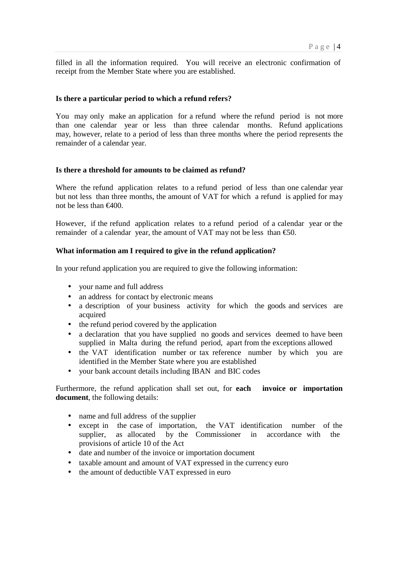filled in all the information required. You will receive an electronic confirmation of receipt from the Member State where you are established.

#### **Is there a particular period to which a refund refers?**

You may only make an application for a refund where the refund period is not more than one calendar year or less than three calendar months. Refund applications may, however, relate to a period of less than three months where the period represents the remainder of a calendar year.

#### **Is there a threshold for amounts to be claimed as refund?**

Where the refund application relates to a refund period of less than one calendar year but not less than three months, the amount of VAT for which a refund is applied for may not be less than  $\epsilon$ 400.

However, if the refund application relates to a refund period of a calendar year or the remainder of a calendar year, the amount of VAT may not be less than  $\epsilon$ 50.

#### **What information am I required to give in the refund application?**

In your refund application you are required to give the following information:

- your name and full address
- an address for contact by electronic means
- a description of your business activity for which the goods and services are acquired
- the refund period covered by the application
- a declaration that you have supplied no goods and services deemed to have been supplied in Malta during the refund period, apart from the exceptions allowed
- the VAT identification number or tax reference number by which you are identified in the Member State where you are established
- your bank account details including IBAN and BIC codes

Furthermore, the refund application shall set out, for **each invoice or importation document**, the following details:

- name and full address of the supplier
- except in the case of importation, the VAT identification number of the supplier, as allocated by the Commissioner in accordance with the provisions of article 10 of the Act
- date and number of the invoice or importation document
- taxable amount and amount of VAT expressed in the currency euro
- the amount of deductible VAT expressed in euro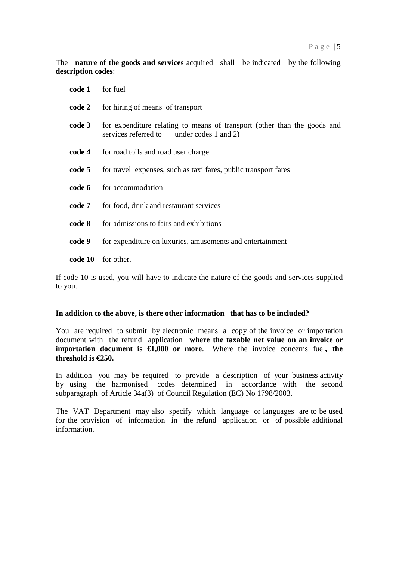The **nature of the goods and services** acquired shall be indicated by the following **description codes**:

| code 1 | for fuel                                                                                                              |
|--------|-----------------------------------------------------------------------------------------------------------------------|
| code 2 | for hiring of means of transport                                                                                      |
| code 3 | for expenditure relating to means of transport (other than the goods and<br>services referred to under codes 1 and 2) |
| code 4 | for road tolls and road user charge                                                                                   |
| code 5 | for travel expenses, such as taxi fares, public transport fares                                                       |
| code 6 | for accommodation                                                                                                     |
| code 7 | for food, drink and restaurant services                                                                               |
| code 8 | for admissions to fairs and exhibitions                                                                               |
| code 9 | for expenditure on luxuries, amusements and entertainment                                                             |
|        | code 10 for other.                                                                                                    |

If code 10 is used, you will have to indicate the nature of the goods and services supplied to you.

## **In addition to the above, is there other information that has to be included?**

You are required to submit by electronic means a copy of the invoice or importation document with the refund application **where the taxable net value on an invoice or importation document is**  $\epsilon 1,000$  **or more**. Where the invoice concerns fuel, the **threshold is €250.**

In addition you may be required to provide a description of your business activity by using the harmonised codes determined in accordance with the second subparagraph of Article 34a(3) of Council Regulation (EC) No 1798/2003.

The VAT Department may also specify which language or languages are to be used for the provision of information in the refund application or of possible additional information.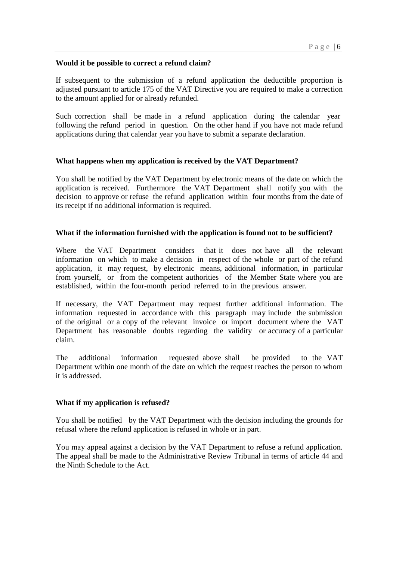## **Would it be possible to correct a refund claim?**

If subsequent to the submission of a refund application the deductible proportion is adjusted pursuant to article 175 of the VAT Directive you are required to make a correction to the amount applied for or already refunded.

Such correction shall be made in a refund application during the calendar year following the refund period in question. On the other hand if you have not made refund applications during that calendar year you have to submit a separate declaration.

## **What happens when my application is received by the VAT Department?**

You shall be notified by the VAT Department by electronic means of the date on which the application is received. Furthermore the VAT Department shall notify you with the decision to approve or refuse the refund application within four months from the date of its receipt if no additional information is required.

#### **What if the information furnished with the application is found not to be sufficient?**

Where the VAT Department considers that it does not have all the relevant information on which to make a decision in respect of the whole or part of the refund application, it may request, by electronic means, additional information, in particular from yourself, or from the competent authorities of the Member State where you are established, within the four-month period referred to in the previous answer.

If necessary, the VAT Department may request further additional information. The information requested in accordance with this paragraph may include the submission of the original or a copy of the relevant invoice or import document where the VAT Department has reasonable doubts regarding the validity or accuracy of a particular claim.

The additional information requested above shall be provided to the VAT Department within one month of the date on which the request reaches the person to whom it is addressed.

#### **What if my application is refused?**

You shall be notified by the VAT Department with the decision including the grounds for refusal where the refund application is refused in whole or in part.

You may appeal against a decision by the VAT Department to refuse a refund application. The appeal shall be made to the Administrative Review Tribunal in terms of article 44 and the Ninth Schedule to the Act.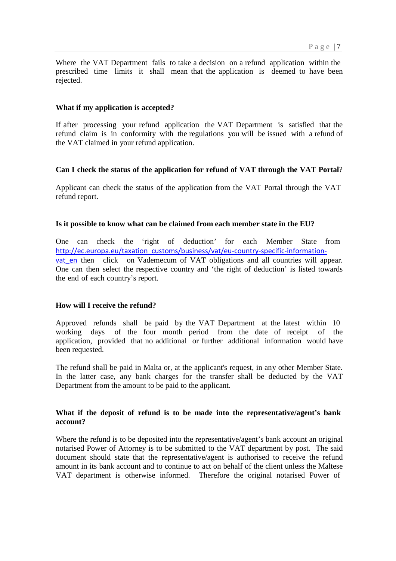Where the VAT Department fails to take a decision on a refund application within the prescribed time limits it shall mean that the application is deemed to have been rejected.

### **What if my application is accepted?**

If after processing your refund application the VAT Department is satisfied that the refund claim is in conformity with the regulations you will be issued with a refund of the VAT claimed in your refund application.

## **Can I check the status of the application for refund of VAT through the VAT Portal**?

Applicant can check the status of the application from the VAT Portal through the VAT refund report.

## **Is it possible to know what can be claimed from each member state in the EU?**

One can check the 'right of deduction' for each Member State from http://ec.europa.eu/taxation\_customs/business/vat/eu-country-specific-informationvat en then click on Vademecum of VAT obligations and all countries will appear. One can then select the respective country and 'the right of deduction' is listed towards the end of each country's report.

#### **How will I receive the refund?**

Approved refunds shall be paid by the VAT Department at the latest within 10 working days of the four month period from the date of receipt of the application, provided that no additional or further additional information would have been requested.

The refund shall be paid in Malta or, at the applicant's request, in any other Member State. In the latter case, any bank charges for the transfer shall be deducted by the VAT Department from the amount to be paid to the applicant.

# **What if the deposit of refund is to be made into the representative/agent's bank account?**

Where the refund is to be deposited into the representative/agent's bank account an original notarised Power of Attorney is to be submitted to the VAT department by post. The said document should state that the representative/agent is authorised to receive the refund amount in its bank account and to continue to act on behalf of the client unless the Maltese VAT department is otherwise informed. Therefore the original notarised Power of